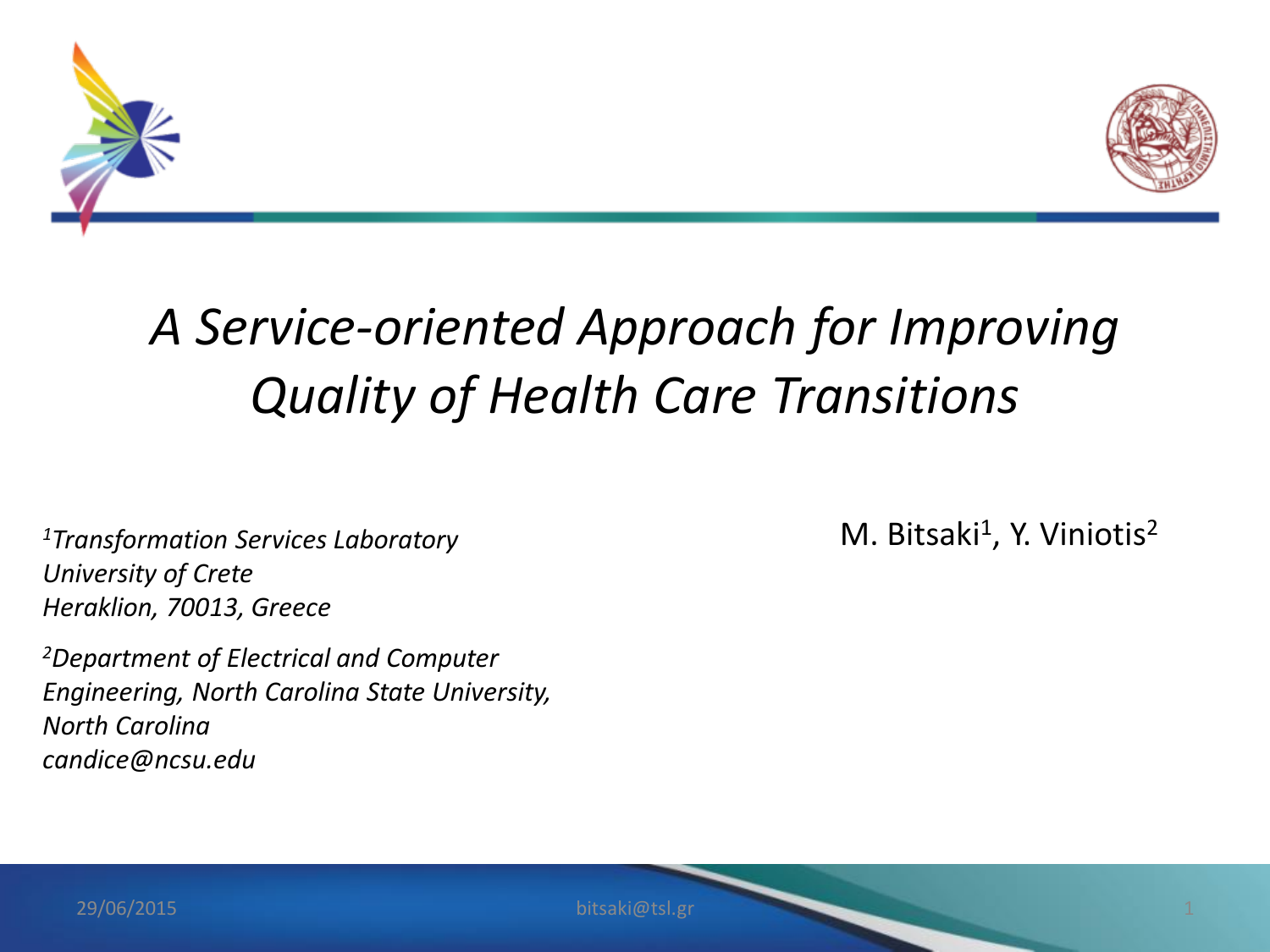



#### *A Service-oriented Approach for Improving Quality of Health Care Transitions*

*<sup>1</sup>Transformation Services Laboratory University of Crete Heraklion, 70013, Greece*

*<sup>2</sup>Department of Electrical and Computer Engineering, North Carolina State University, North Carolina candice@ncsu.edu*

M. Bitsaki<sup>1</sup>, Y. Viniotis<sup>2</sup>

29/06/2015 bitsaki@tsl.gr 1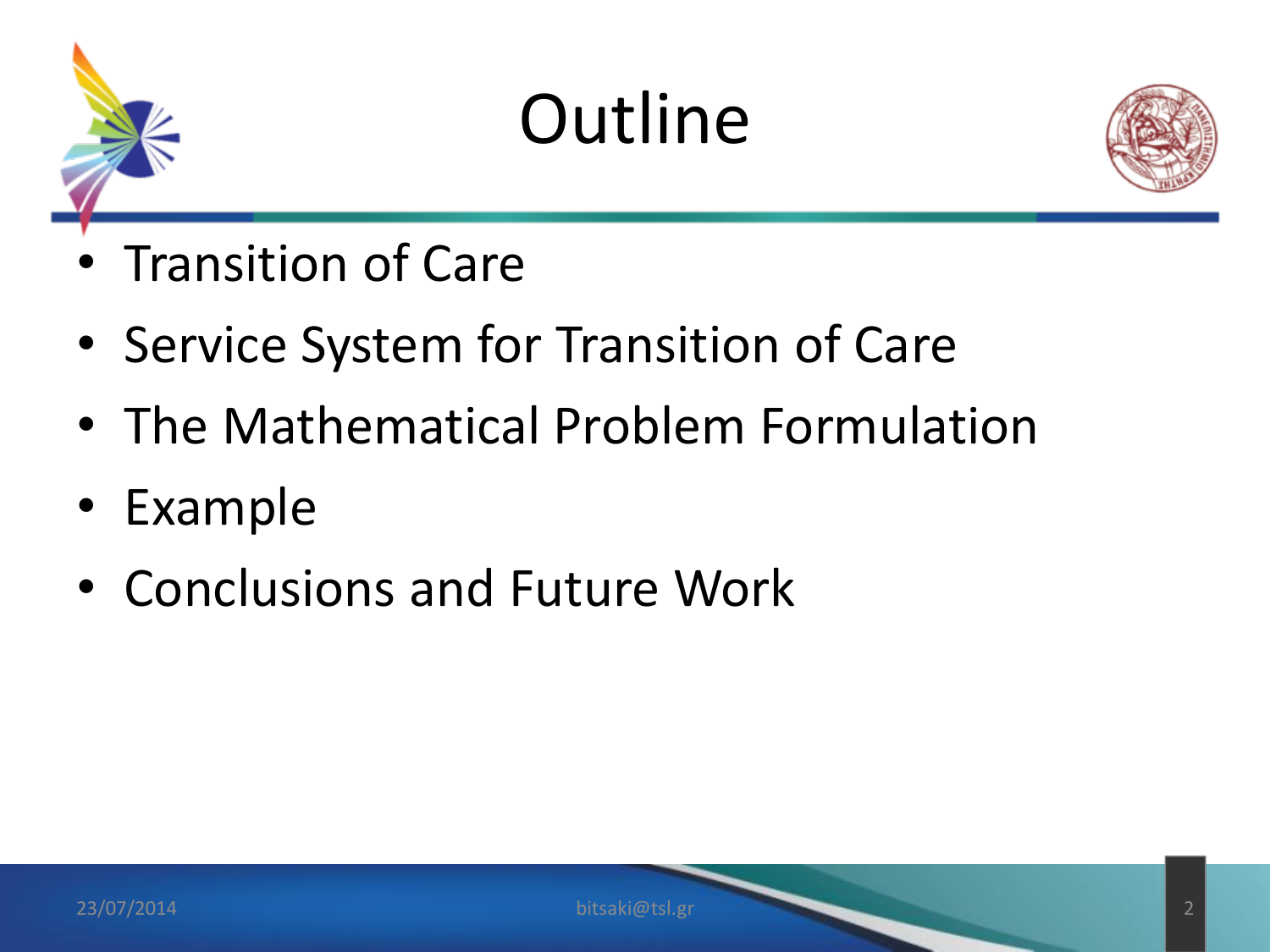



- Transition of Care
- Service System for Transition of Care
- The Mathematical Problem Formulation
- Example
- Conclusions and Future Work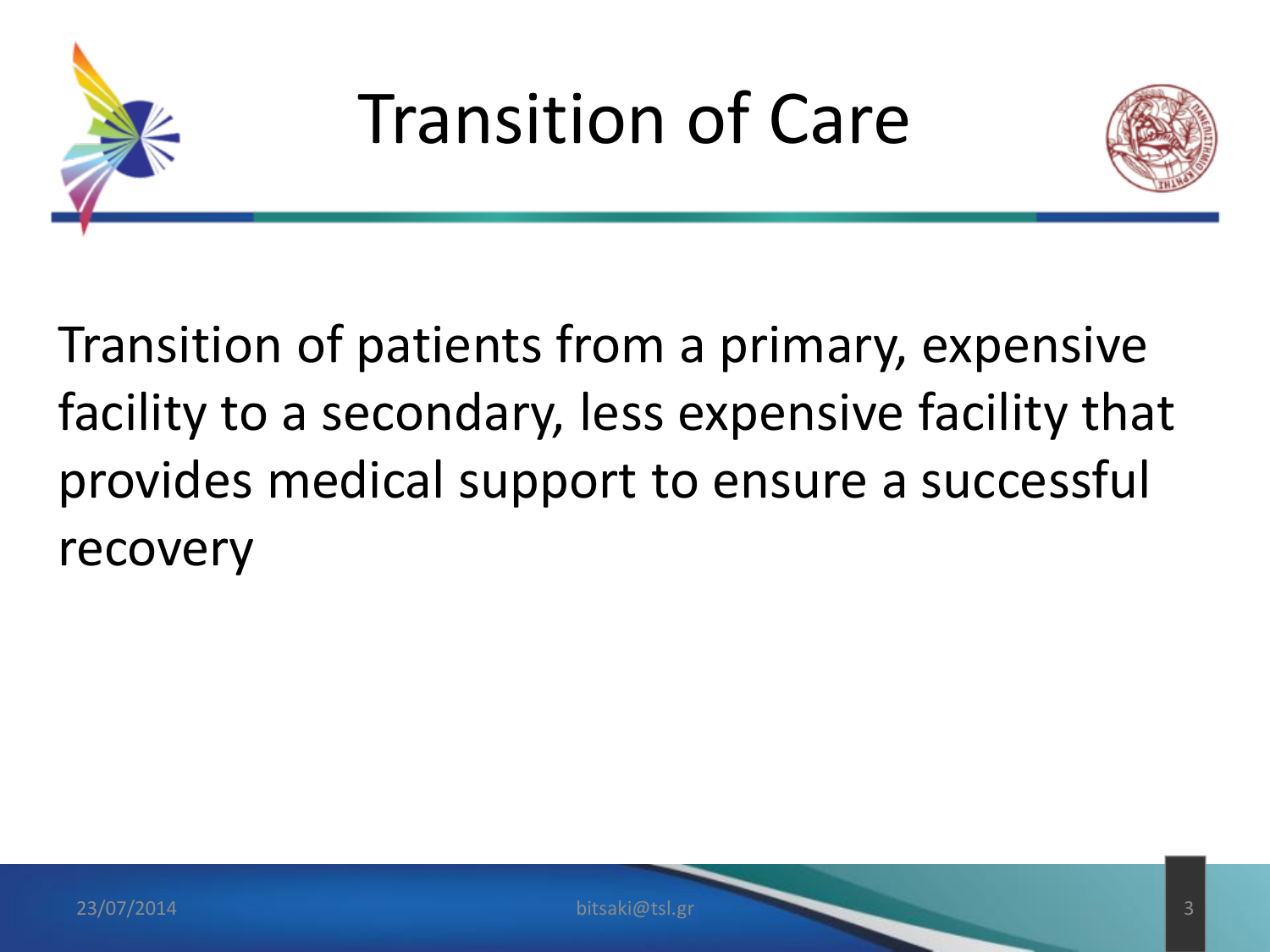

Transition of Care



Transition of patients from a primary, expensive facility to a secondary, less expensive facility that provides medical support to ensure a successful recovery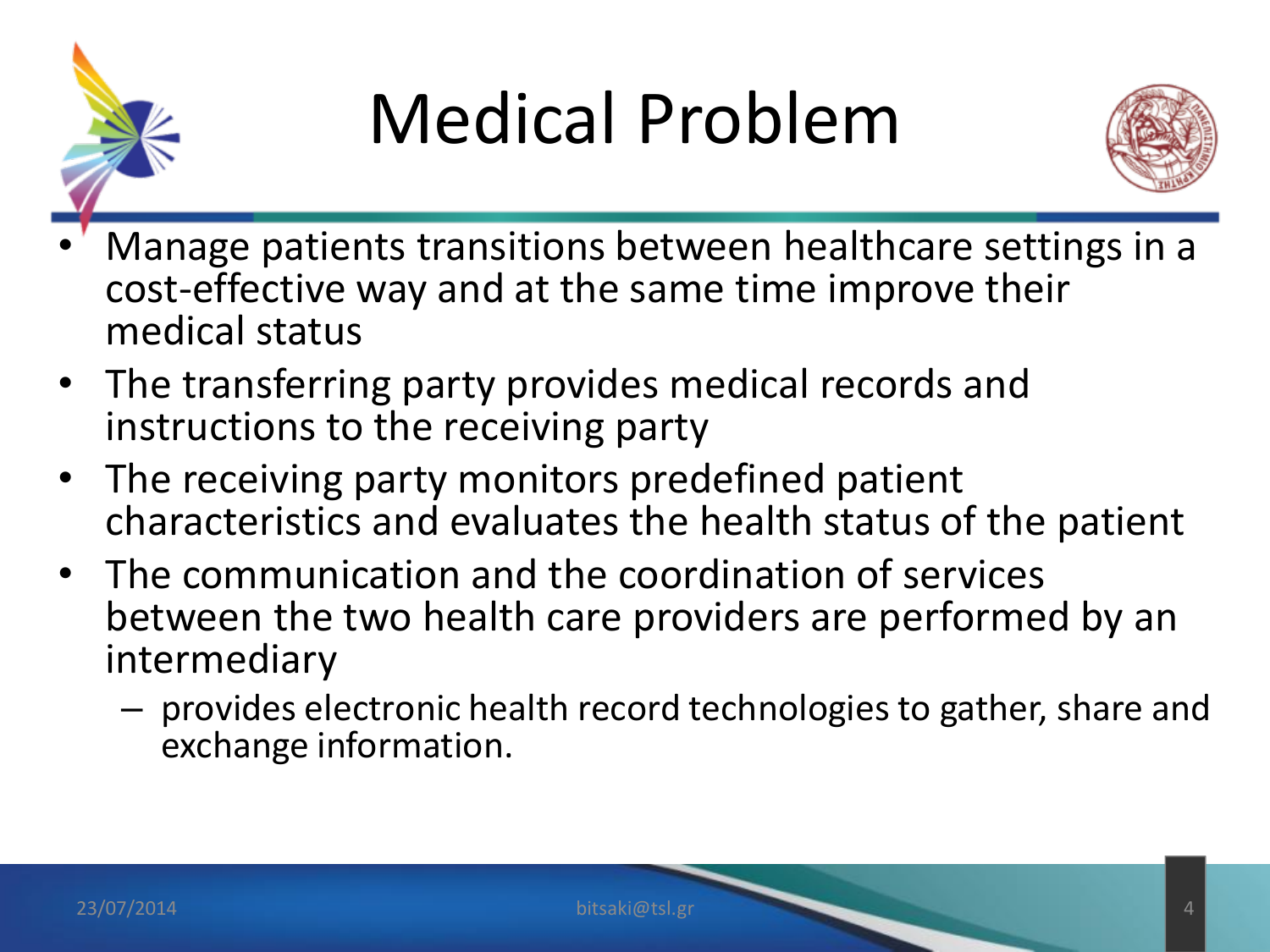

### Medical Problem



- Manage patients transitions between healthcare settings in a cost-effective way and at the same time improve their medical status
- The transferring party provides medical records and instructions to the receiving party
- The receiving party monitors predefined patient characteristics and evaluates the health status of the patient
- The communication and the coordination of services between the two health care providers are performed by an intermediary
	- provides electronic health record technologies to gather, share and exchange information.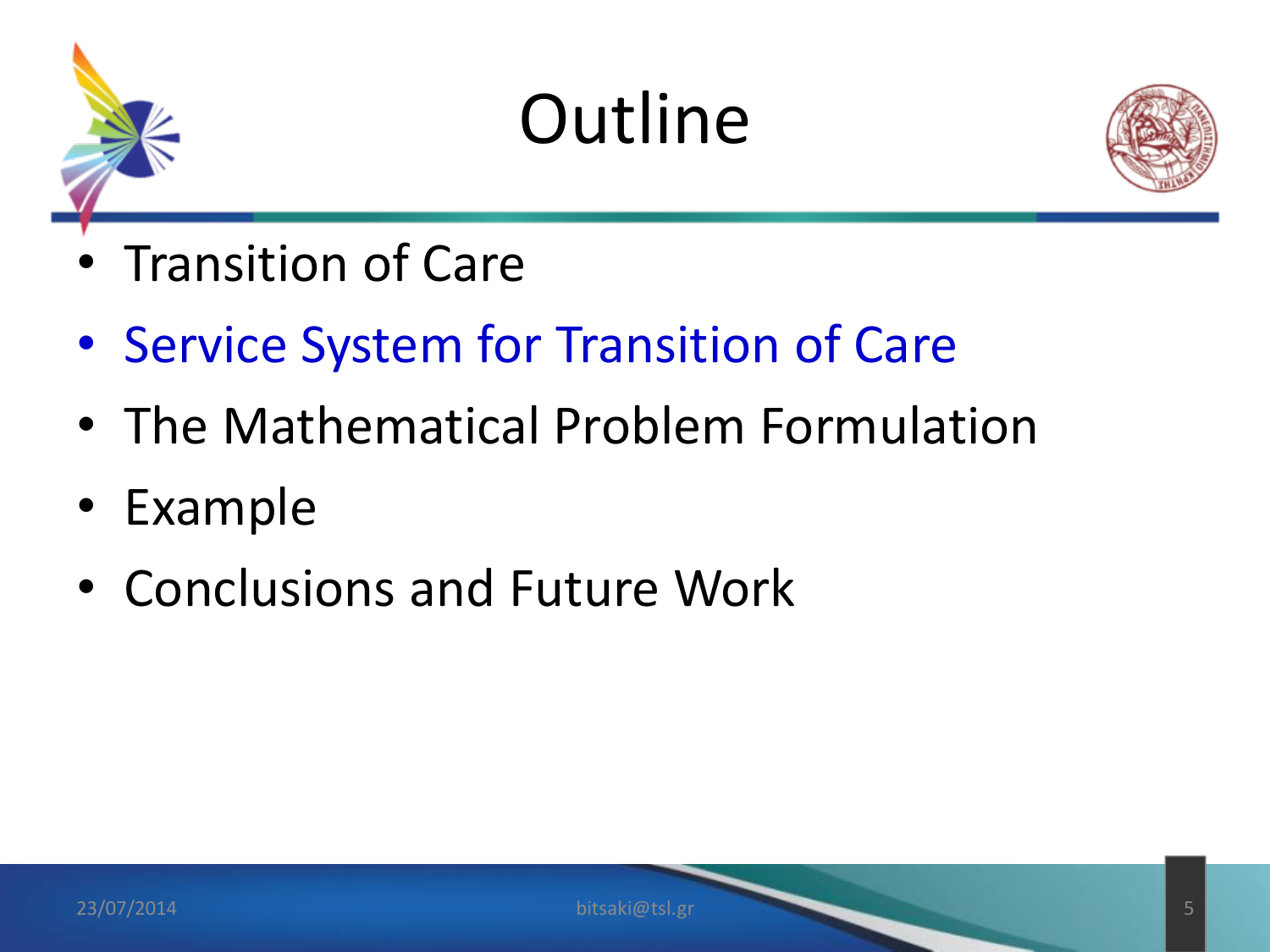



- Transition of Care
- Service System for Transition of Care
- The Mathematical Problem Formulation
- Example
- Conclusions and Future Work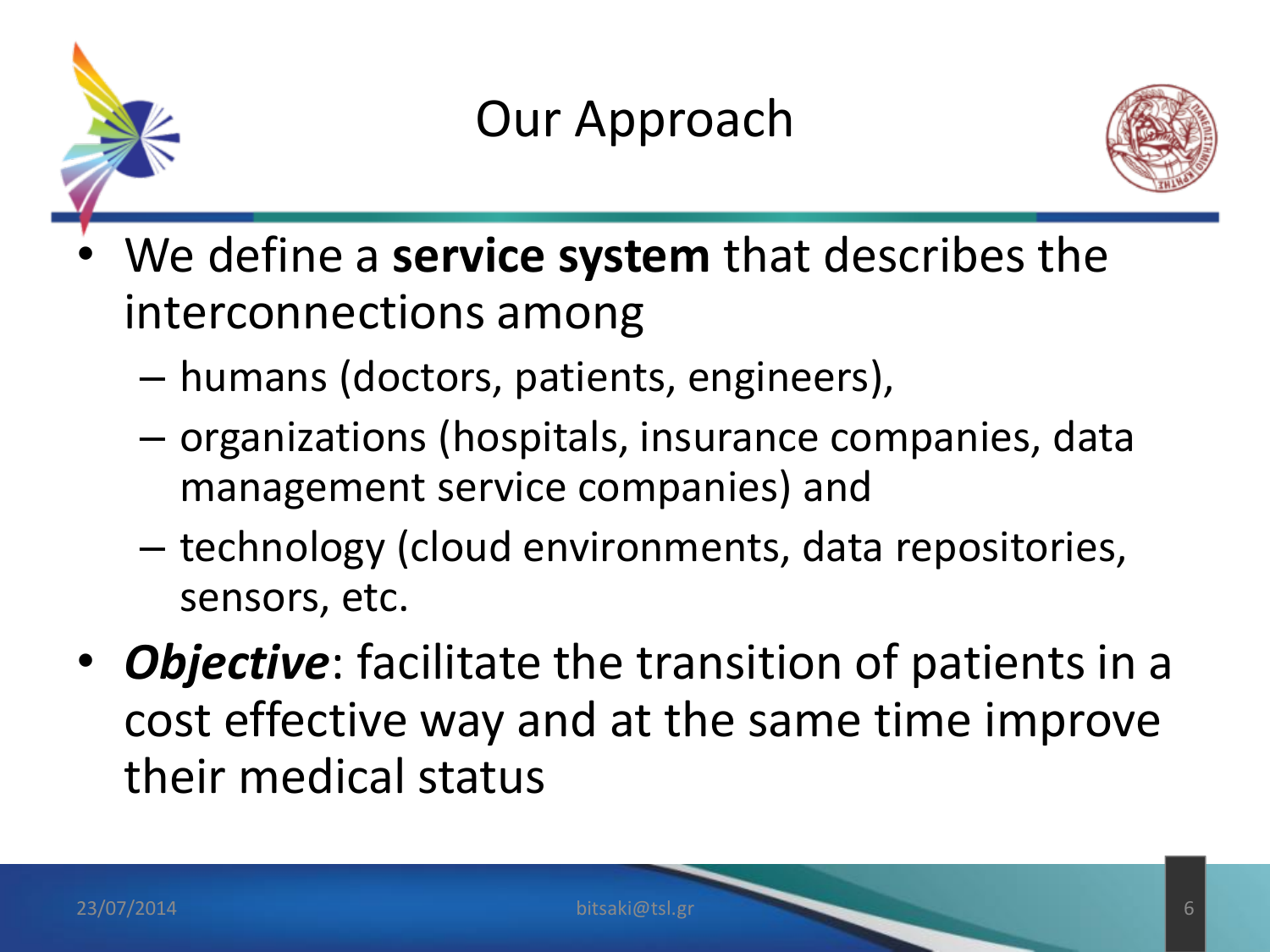

#### Our Approach



- We define a **service system** that describes the interconnections among
	- humans (doctors, patients, engineers),
	- organizations (hospitals, insurance companies, data management service companies) and
	- technology (cloud environments, data repositories, sensors, etc.
- *Objective*: facilitate the transition of patients in a cost effective way and at the same time improve their medical status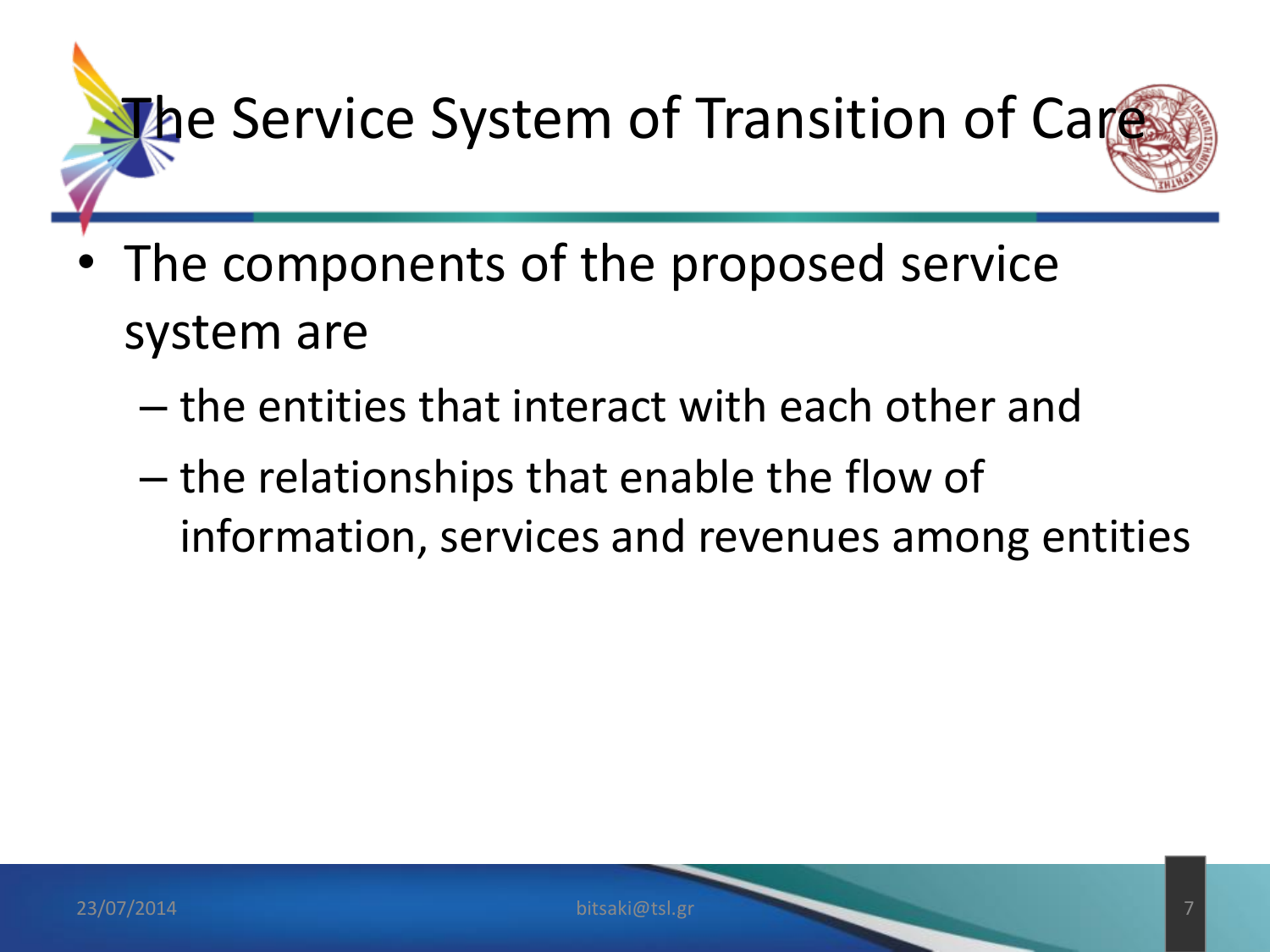

- The components of the proposed service system are
	- the entities that interact with each other and
	- the relationships that enable the flow of information, services and revenues among entities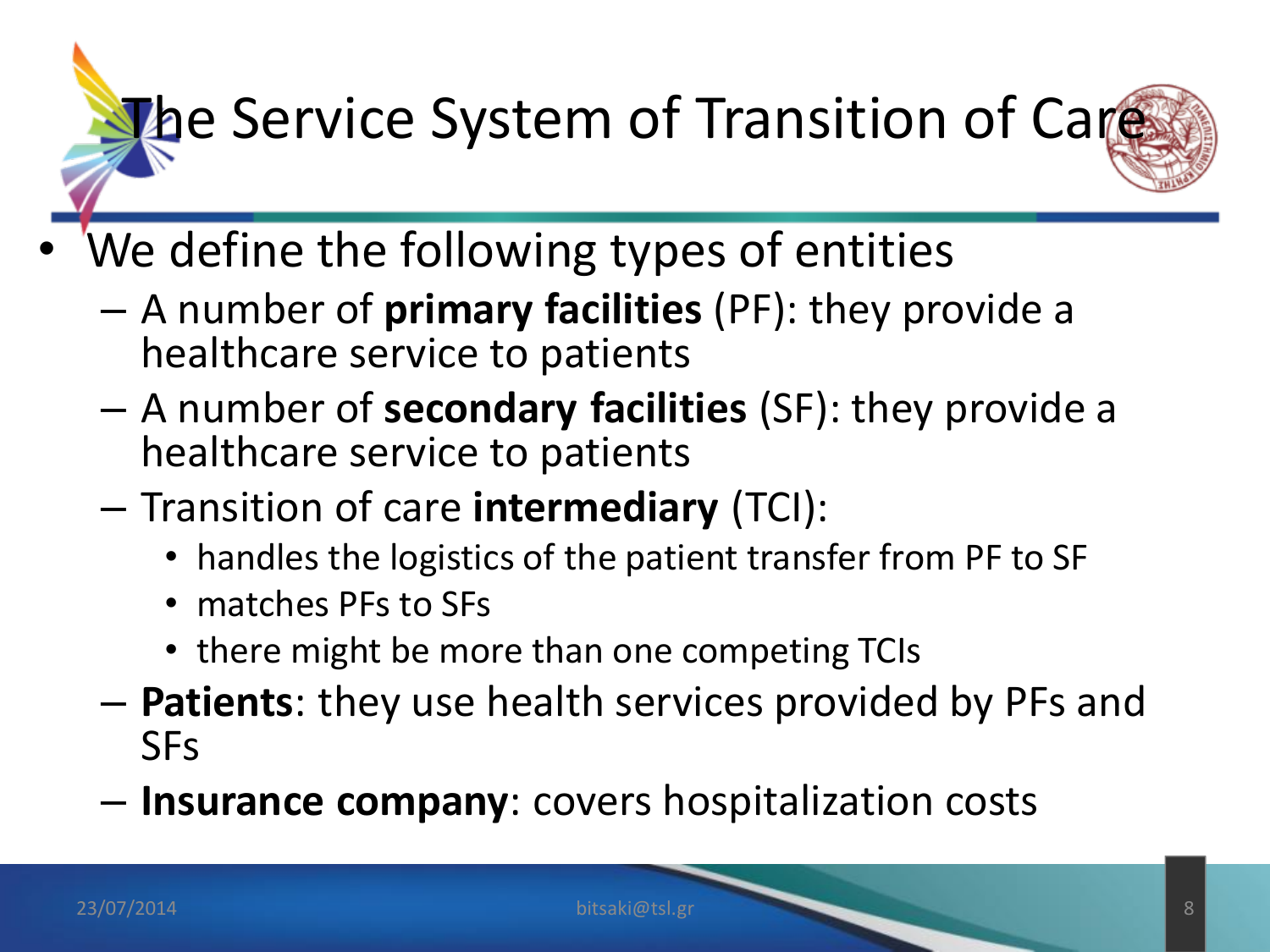# the Service System of Transition of Care

- We define the following types of entities
	- A number of **primary facilities** (PF): they provide a healthcare service to patients
	- A number of **secondary facilities** (SF): they provide a healthcare service to patients
	- Transition of care **intermediary** (TCI):
		- handles the logistics of the patient transfer from PF to SF
		- matches PFs to SFs
		- there might be more than one competing TCIs
	- **Patients**: they use health services provided by PFs and SFs
	- **Insurance company**: covers hospitalization costs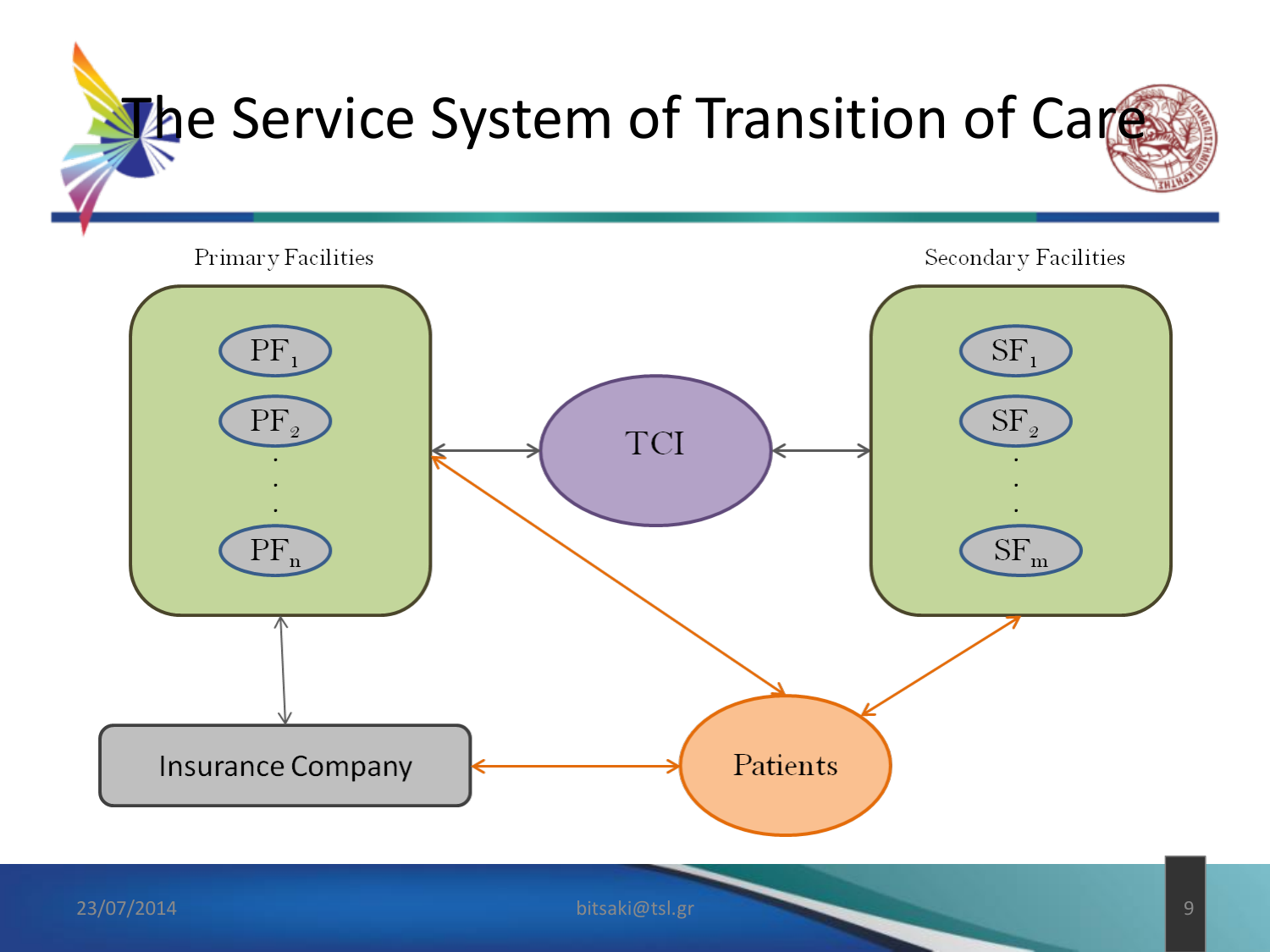

23/07/2014 bitsaki@tsl.gr 9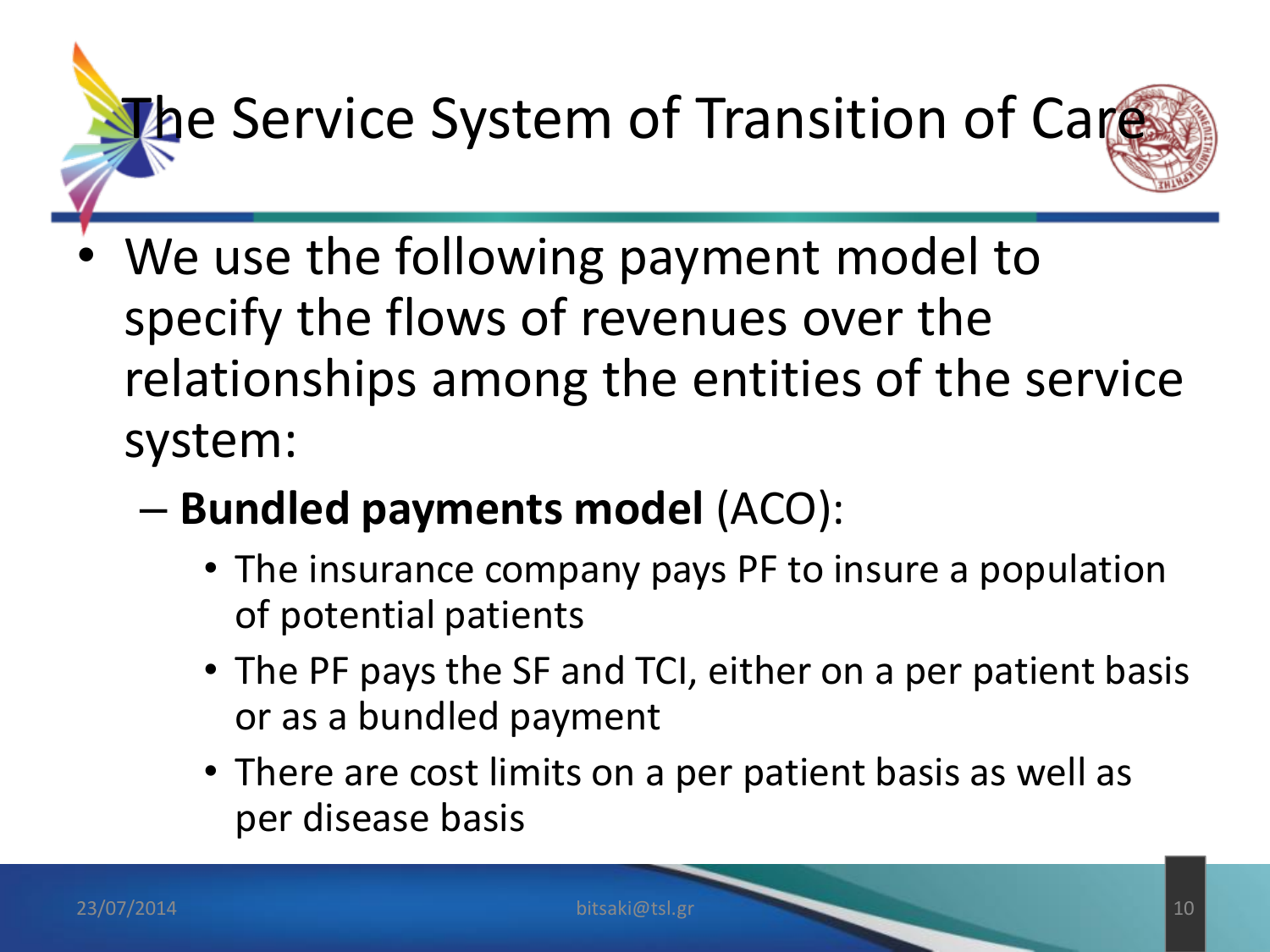# the Service System of Transition of Care

- We use the following payment model to specify the flows of revenues over the relationships among the entities of the service system:
	- **Bundled payments model** (ACO):
		- The insurance company pays PF to insure a population of potential patients
		- The PF pays the SF and TCI, either on a per patient basis or as a bundled payment
		- There are cost limits on a per patient basis as well as per disease basis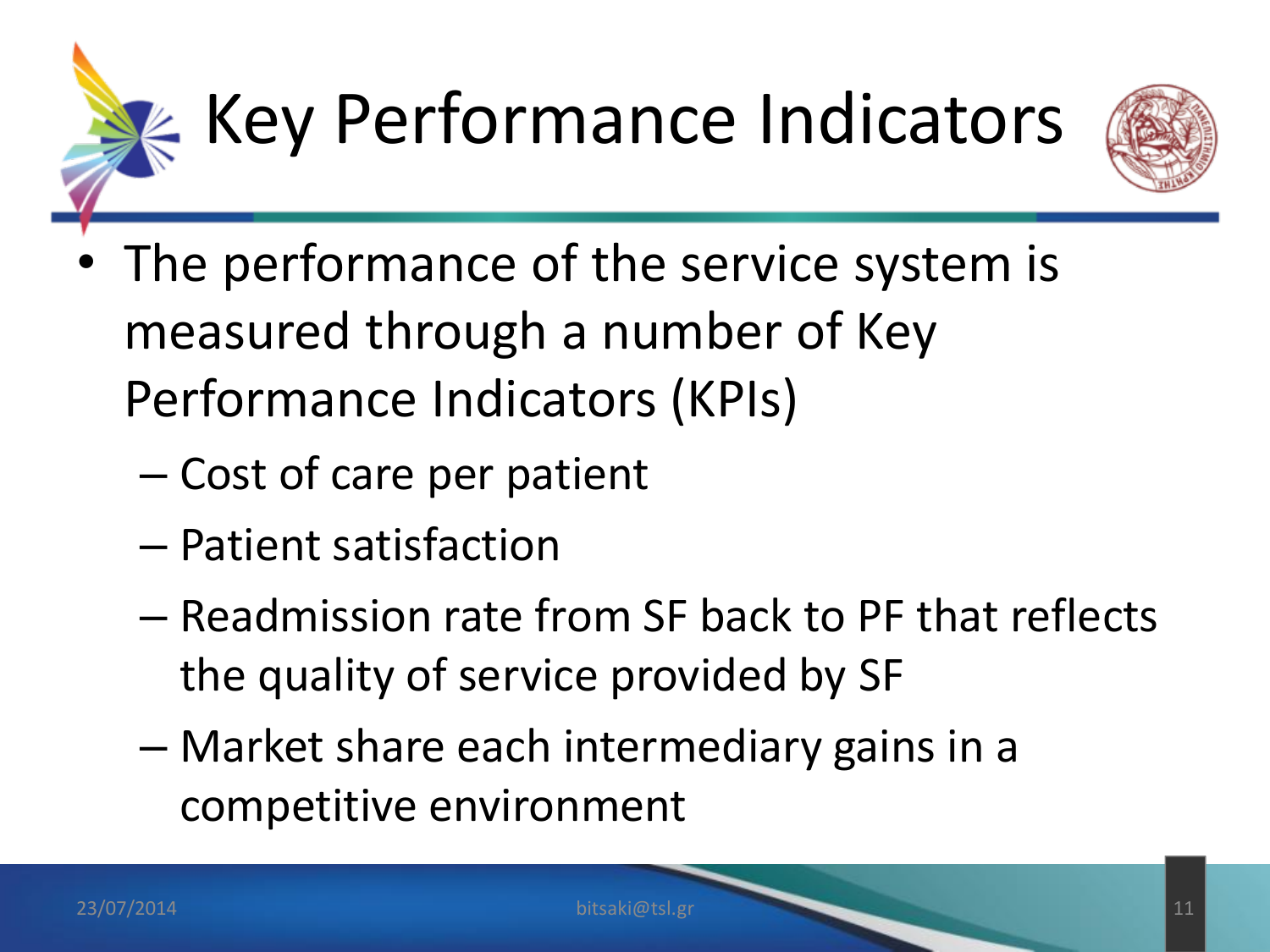



- The performance of the service system is measured through a number of Key Performance Indicators (KPIs)
	- Cost of care per patient
	- Patient satisfaction
	- Readmission rate from SF back to PF that reflects the quality of service provided by SF
	- Market share each intermediary gains in a competitive environment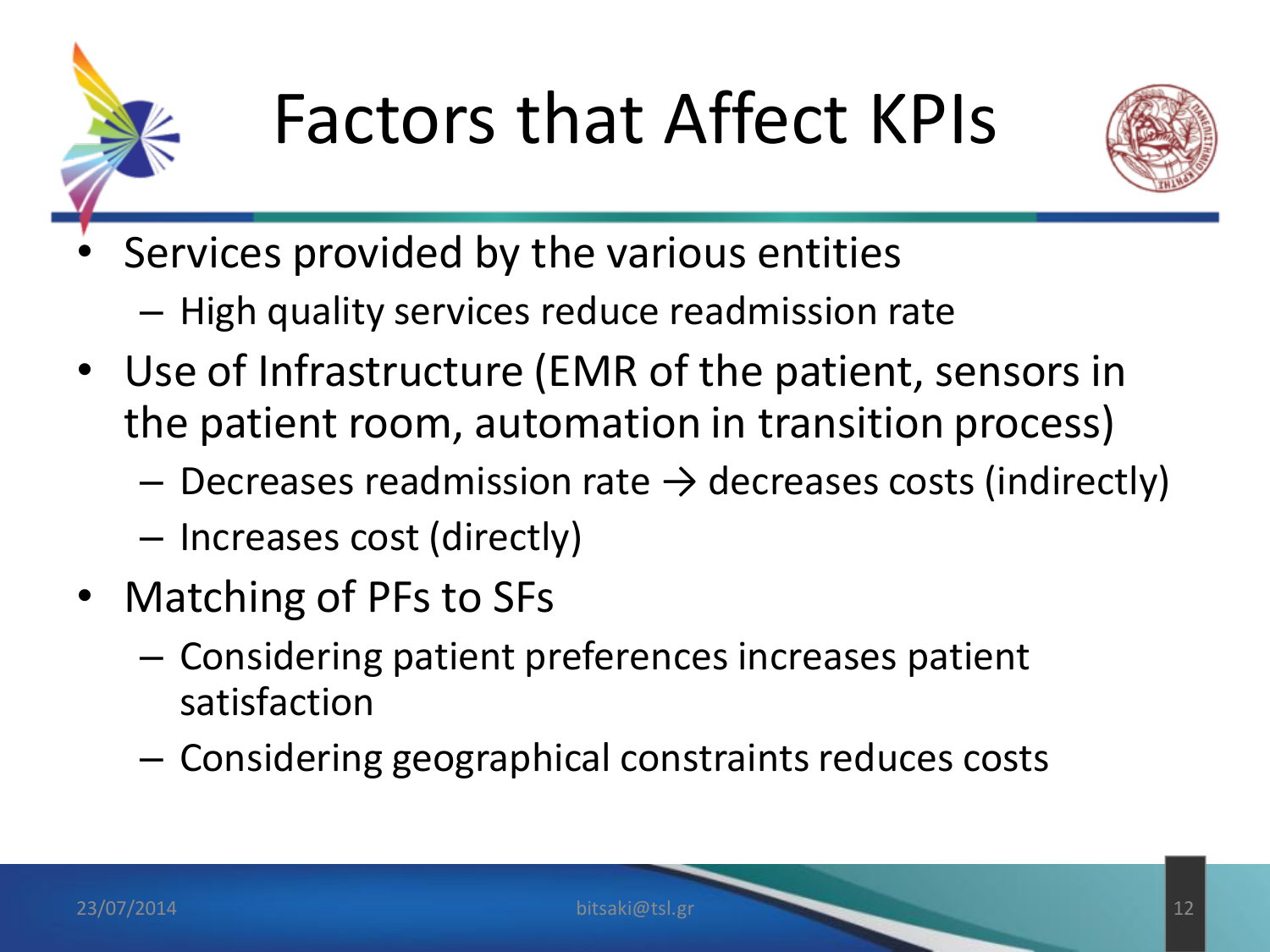



- Services provided by the various entities
	- High quality services reduce readmission rate
- Use of Infrastructure (EMR of the patient, sensors in the patient room, automation in transition process)
	- $-$  Decreases readmission rate  $\rightarrow$  decreases costs (indirectly)
	- Increases cost (directly)
- Matching of PFs to SFs
	- Considering patient preferences increases patient satisfaction
	- Considering geographical constraints reduces costs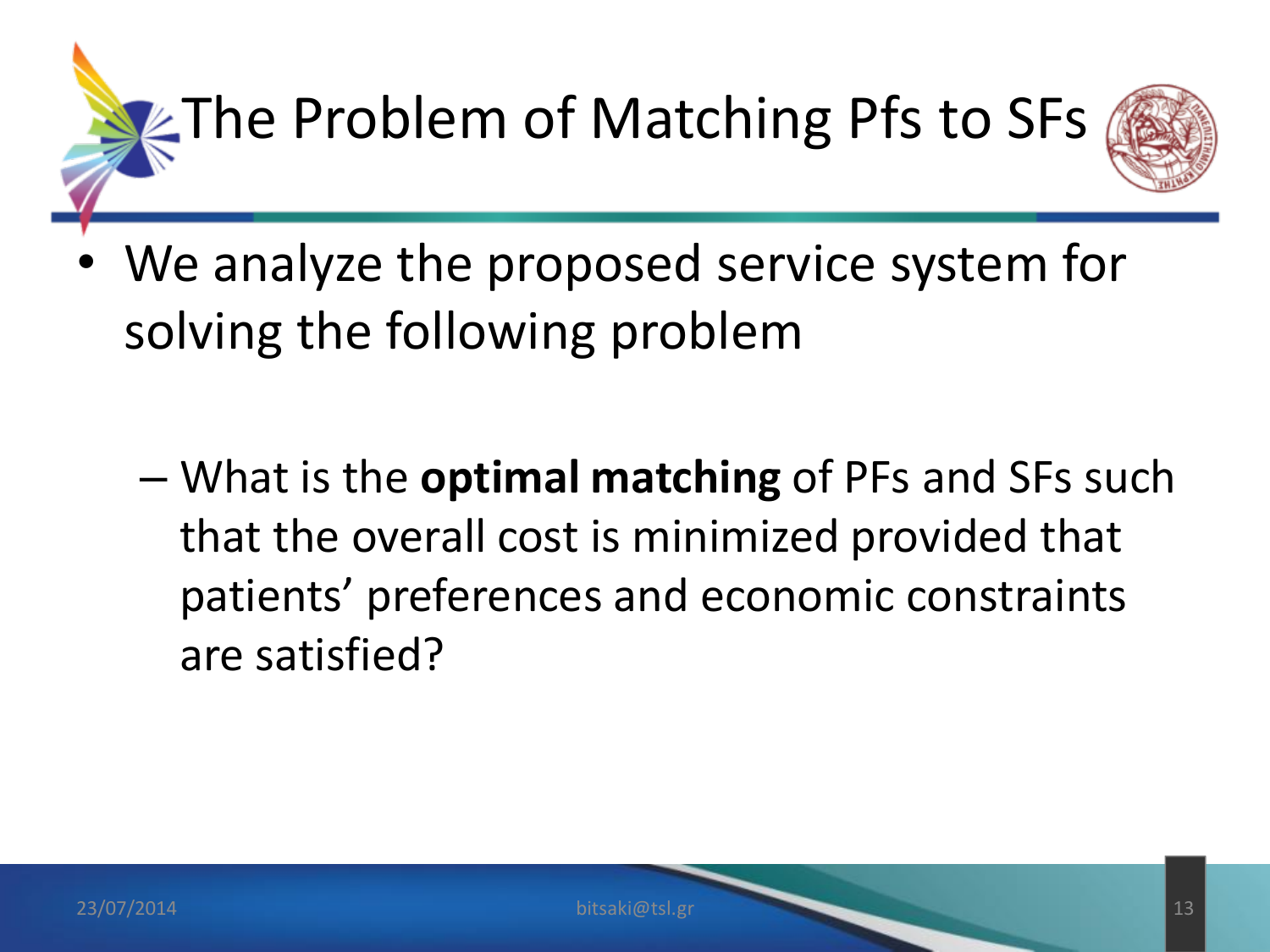

- We analyze the proposed service system for solving the following problem
	- What is the **optimal matching** of PFs and SFs such that the overall cost is minimized provided that patients' preferences and economic constraints are satisfied?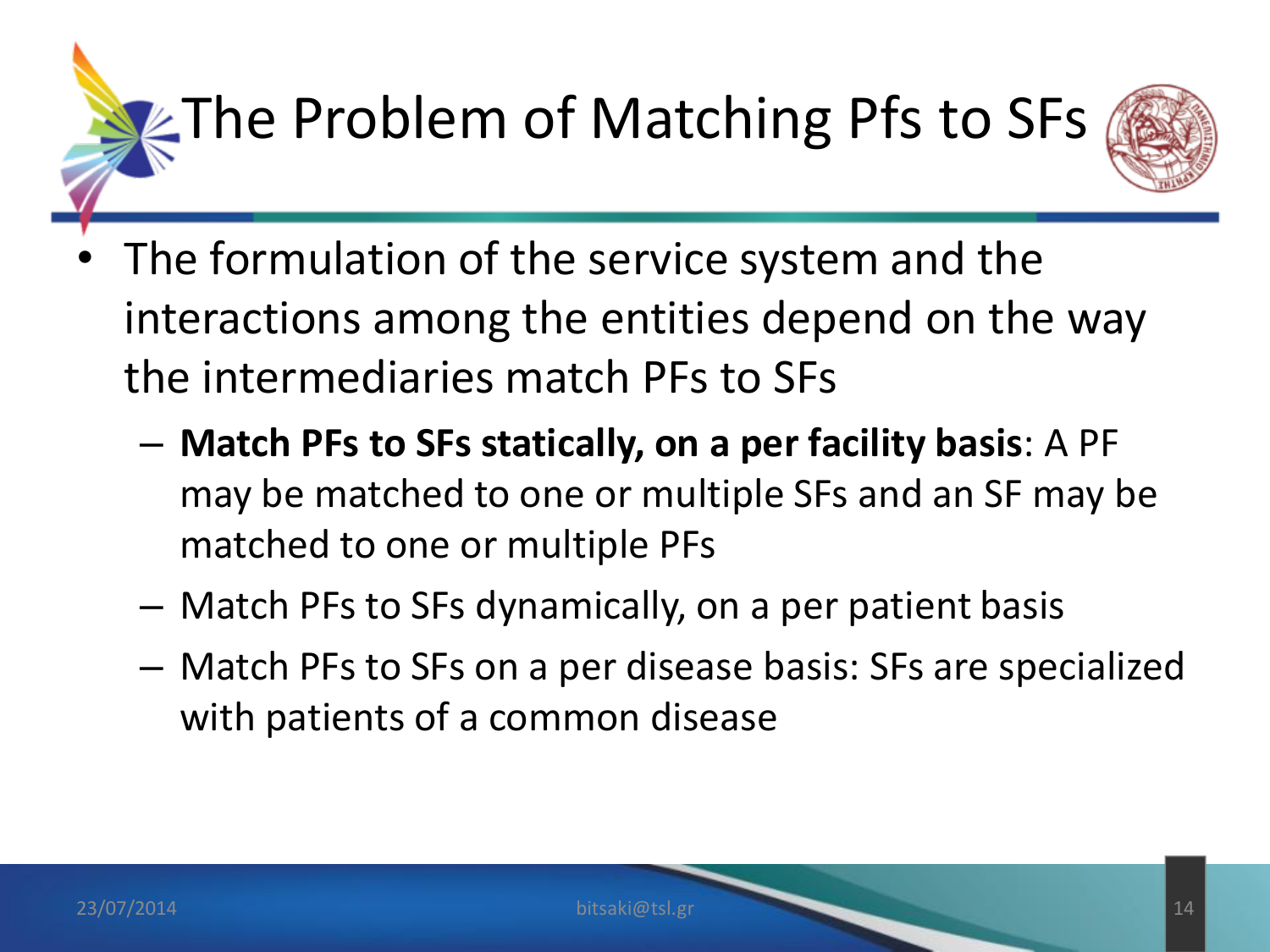## $\square$ The Problem of Matching Pfs to SFs



- The formulation of the service system and the interactions among the entities depend on the way the intermediaries match PFs to SFs
	- **Match PFs to SFs statically, on a per facility basis**: A PF may be matched to one or multiple SFs and an SF may be matched to one or multiple PFs
	- Match PFs to SFs dynamically, on a per patient basis
	- Match PFs to SFs on a per disease basis: SFs are specialized with patients of a common disease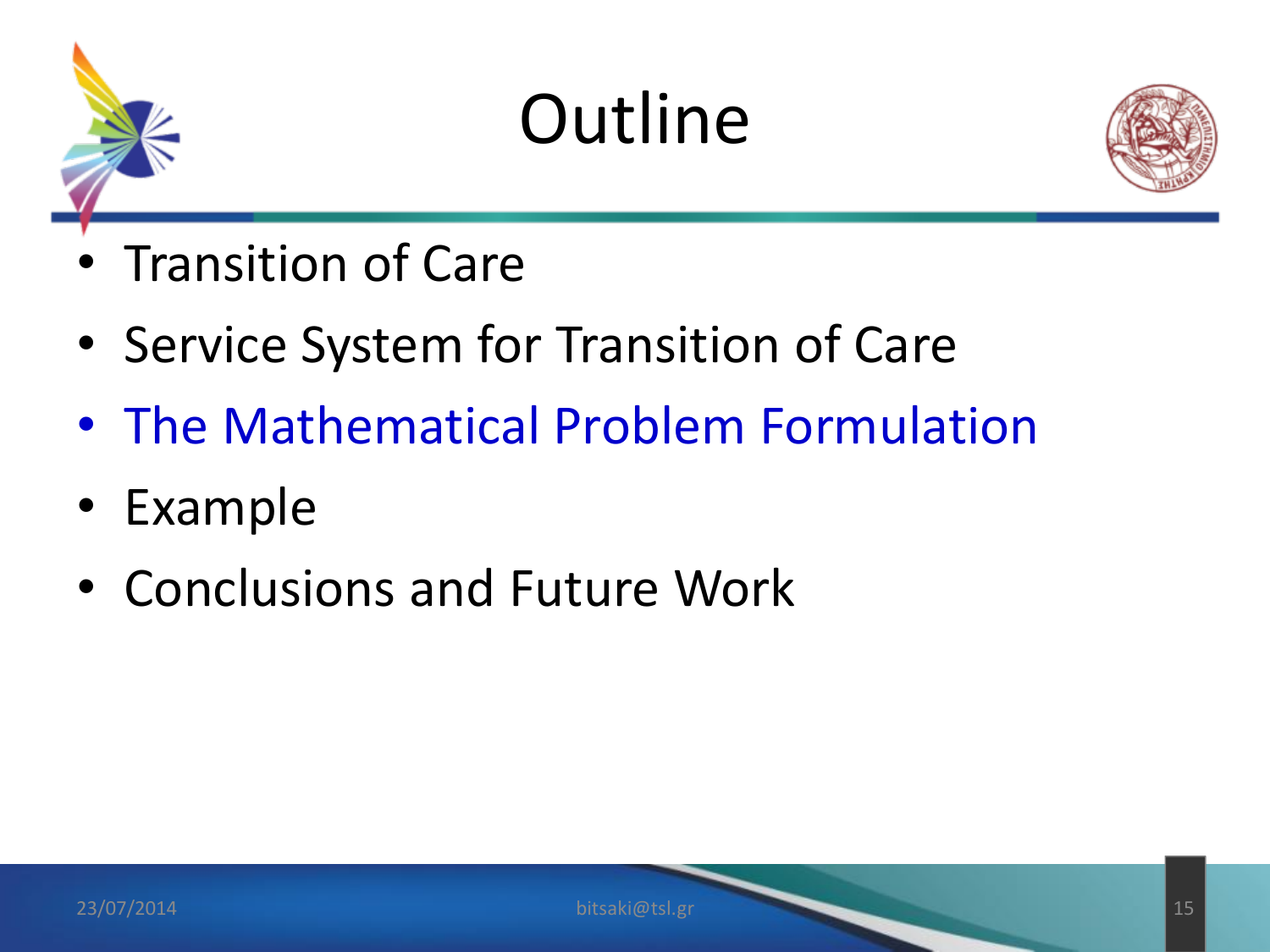



- Transition of Care
- Service System for Transition of Care
- The Mathematical Problem Formulation
- Example
- Conclusions and Future Work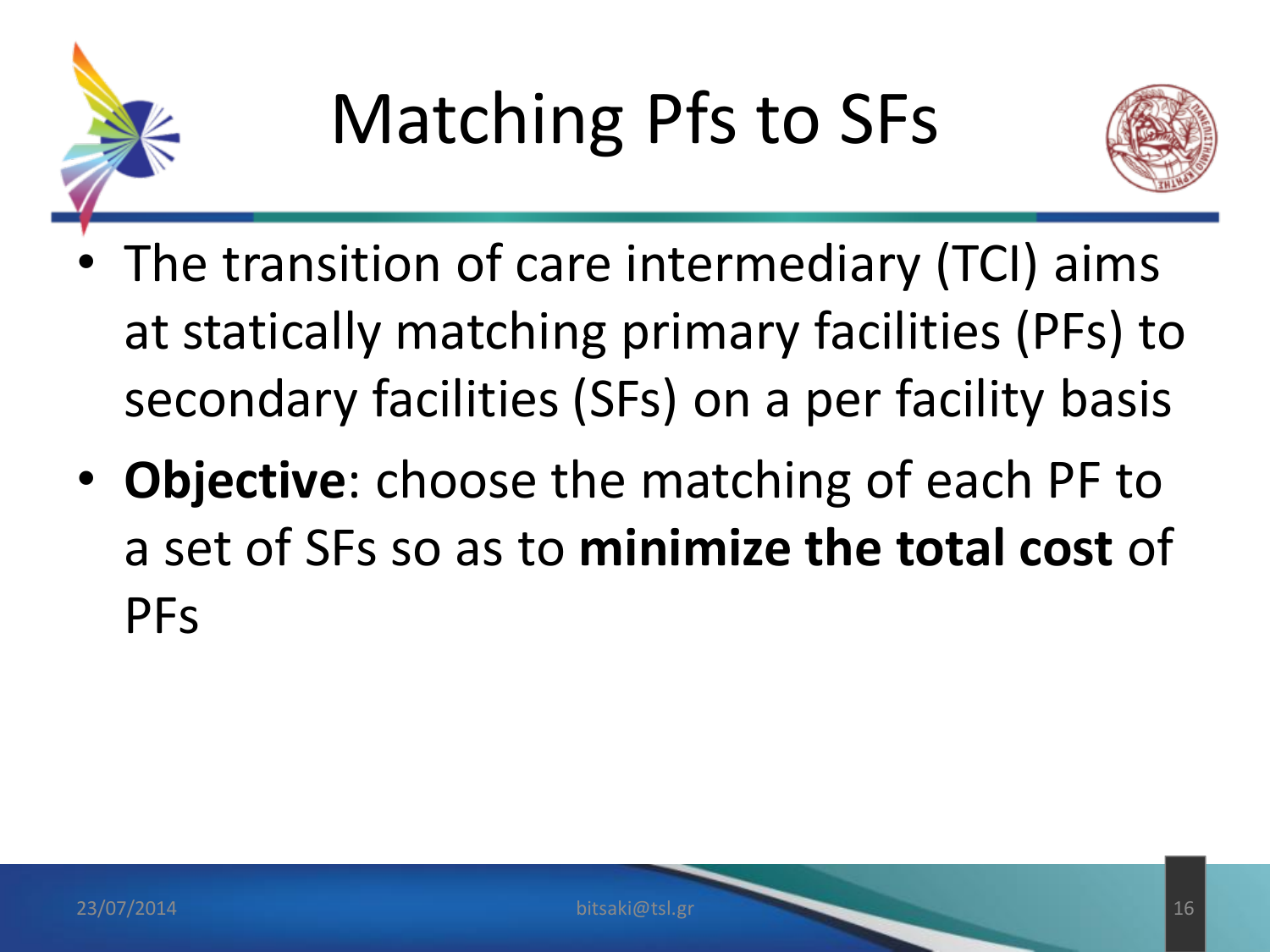



- The transition of care intermediary (TCI) aims at statically matching primary facilities (PFs) to secondary facilities (SFs) on a per facility basis
- **Objective**: choose the matching of each PF to a set of SFs so as to **minimize the total cost** of PFs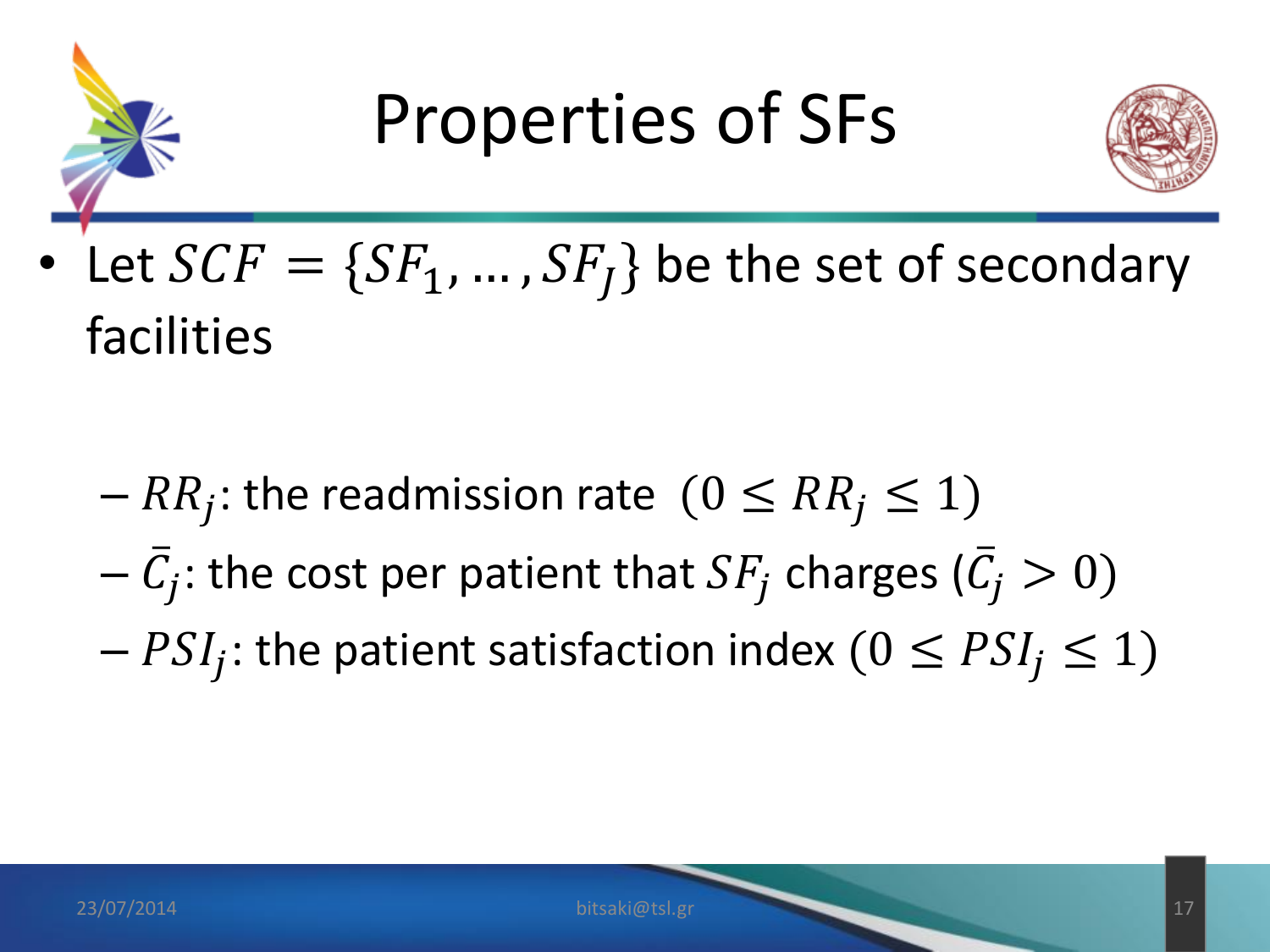

#### Properties of SFs



• Let  $SCF = \{SF_1, ..., SF_J\}$  be the set of secondary facilities

- $-RR_j$ : the readmission rate  $(0 \leq RR_j \leq 1)$
- $-\bar{C_j}$ : the cost per patient that  $SF_j$  charges ( $\bar{C_j}>0$ )
- $PSI_j$ : the patient satisfaction index  $(0 \leq PSI_j \leq 1)$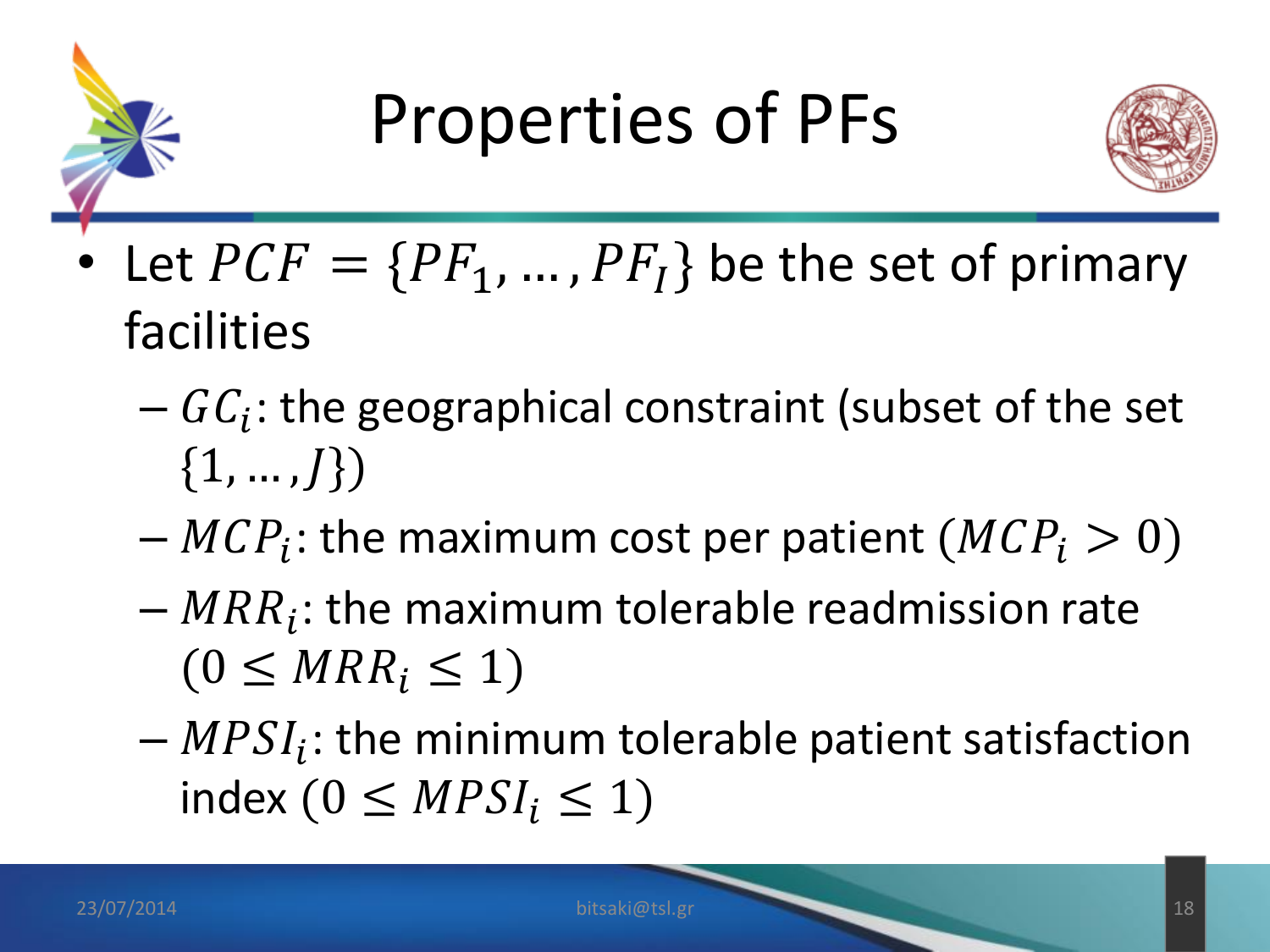



- Let  $PCF = \{PF_1, ..., PF_I\}$  be the set of primary facilities
	- $-GC_i$ : the geographical constraint (subset of the set  $\{1, ..., J\}$
	- $-MCP_i$ : the maximum cost per patient  $(MCP_i > 0)$
	- $-MRR_i$ : the maximum tolerable readmission rate  $(0 \leq MRR_i \leq 1)$
	- $-MPSI_i$ : the minimum tolerable patient satisfaction index ( $0 \leq MPSI_i \leq 1$ )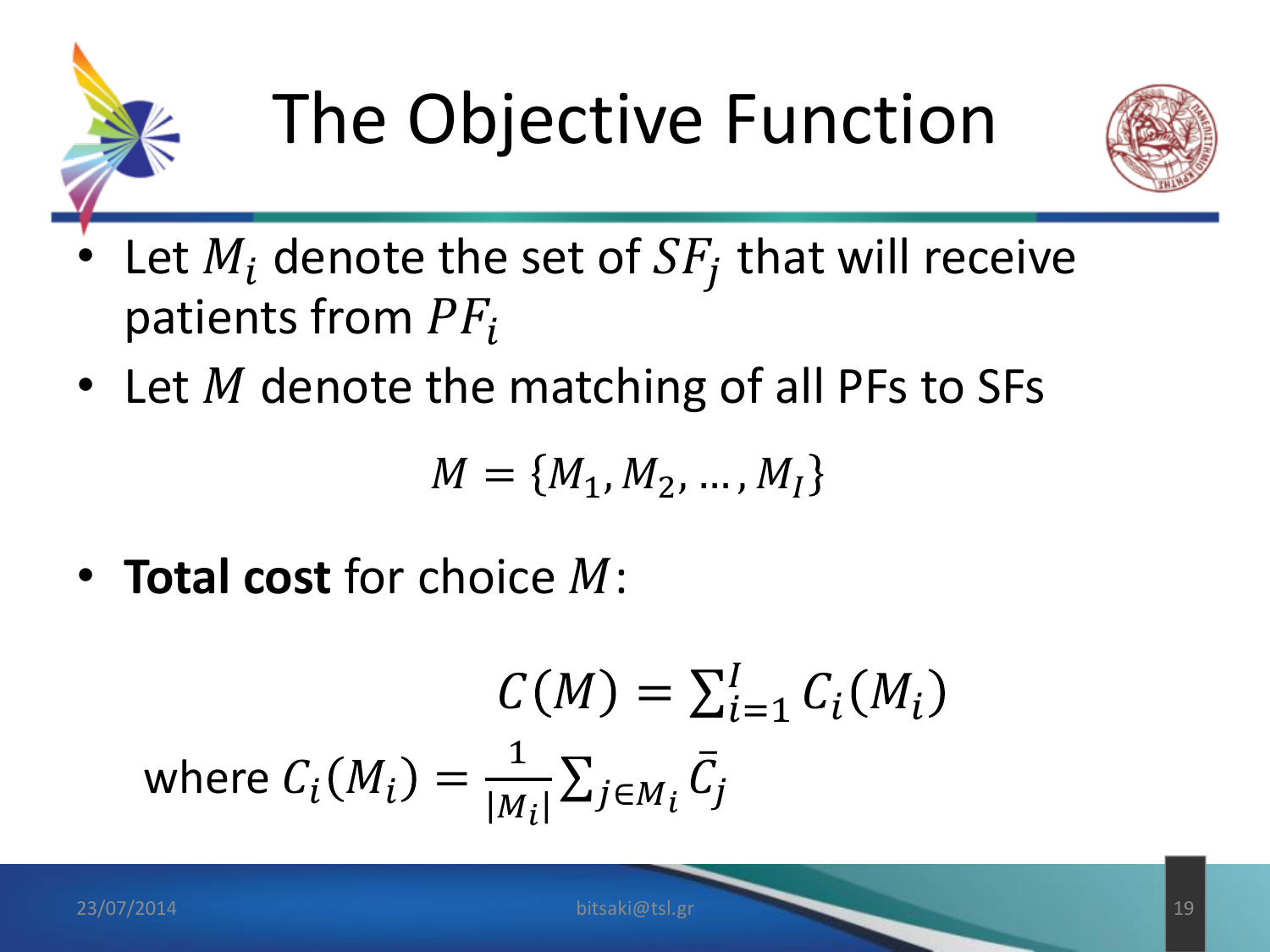



- Let  $M_i$  denote the set of  $SF_j$  that will receive patients from  $PF_i$
- Let  $M$  denote the matching of all PFs to SFs

$$
M = \{M_1, M_2, \dots, M_I\}
$$

• **Total cost** for choice M:

$$
C(M) = \sum_{i=1}^{I} C_i(M_i)
$$
  
where  $C_i(M_i) = \frac{1}{|M_i|} \sum_{j \in M_i} \overline{C}_j$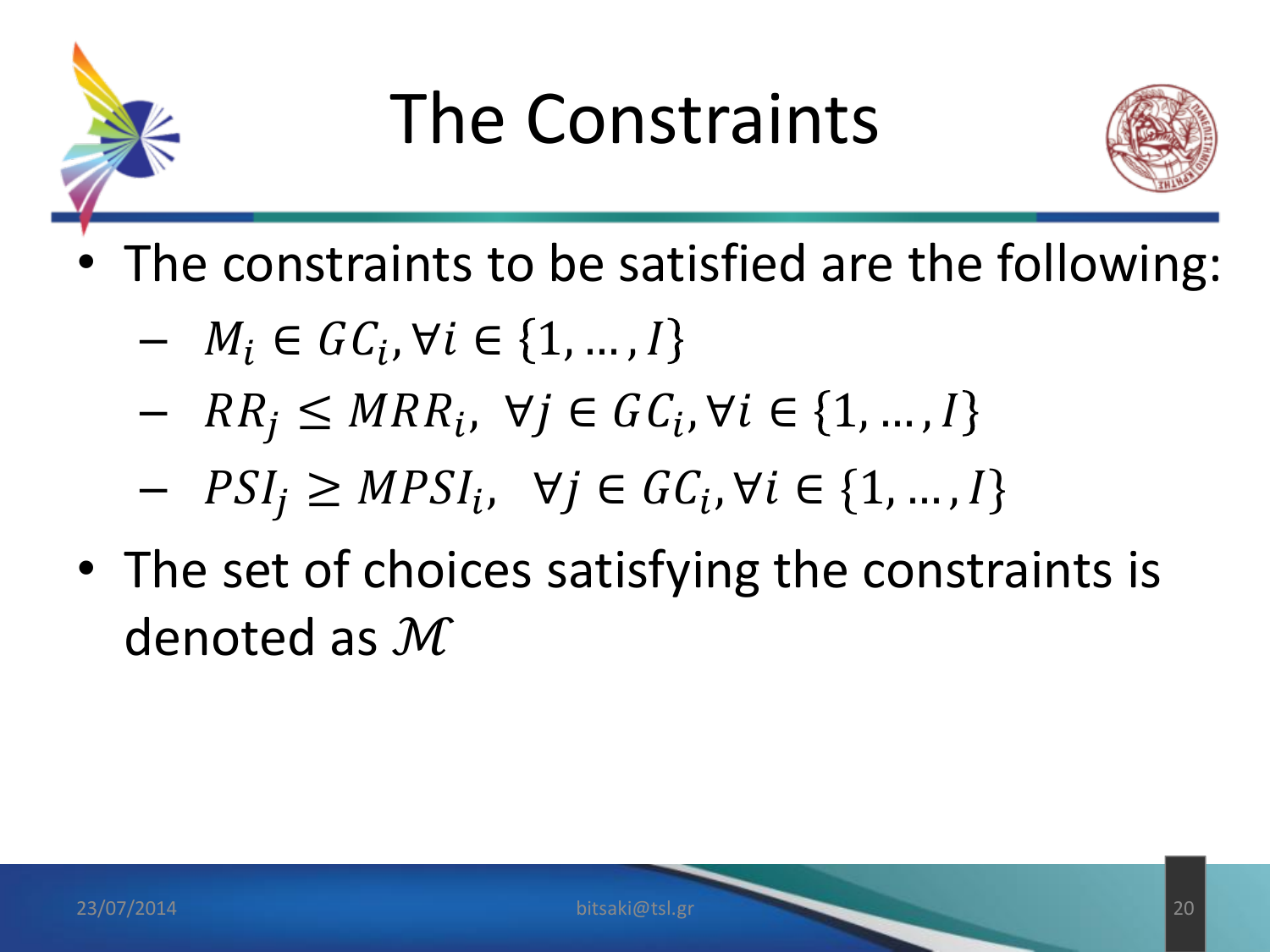

#### The Constraints



- The constraints to be satisfied are the following:
	- $M_i \in \mathit{GC}_i, \forall i \in \{1, ..., I\}$
	- $RR_j \leq MRR_i, \forall j \in GC_i, \forall i \in \{1, ..., N\}$
	- $-PSI_j \geq MPSI_i, \forall j \in GC_i, \forall i \in \{1, ..., I\}$
- The set of choices satisfying the constraints is denoted as ℳ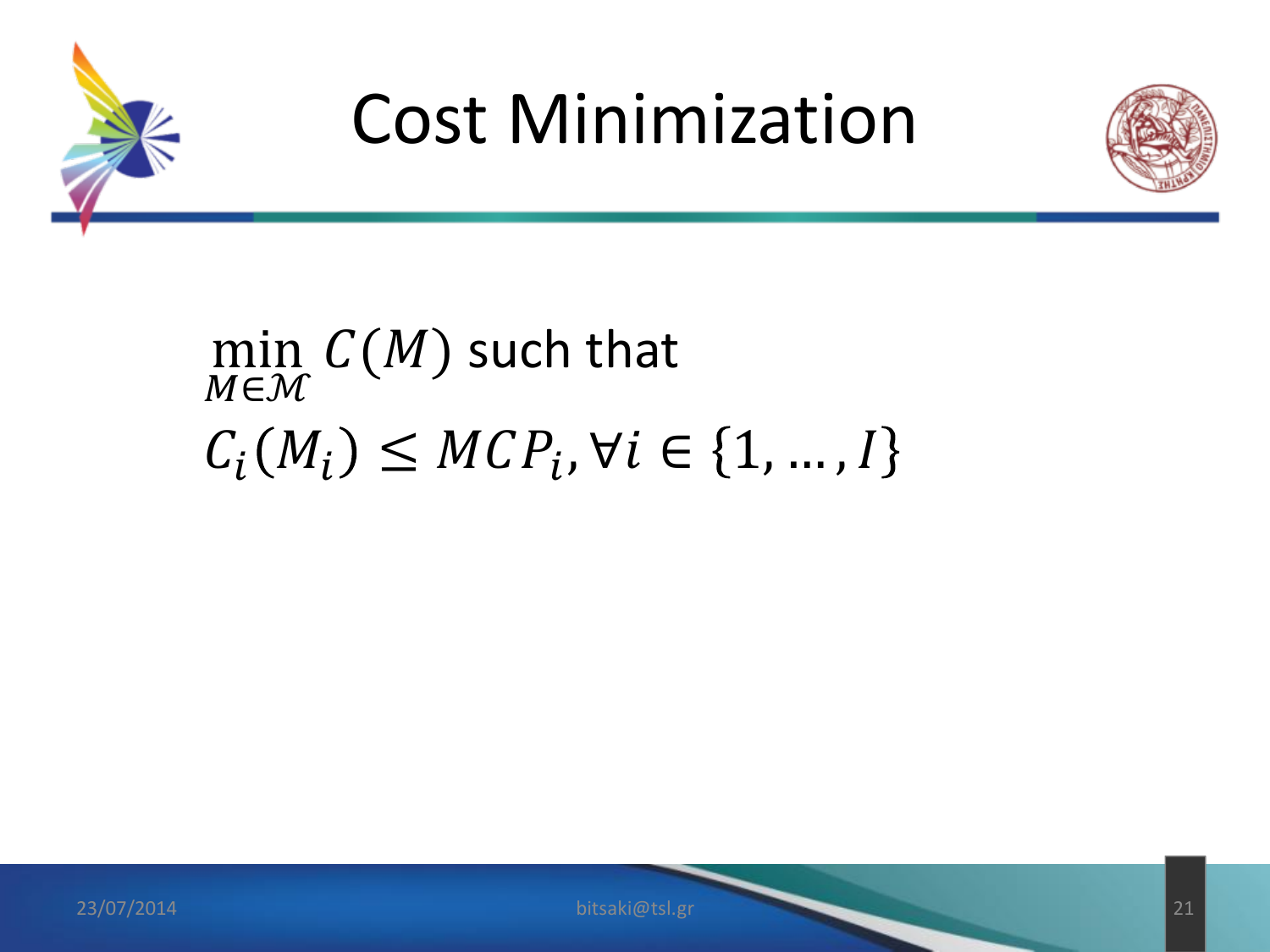

#### Cost Minimization



#### min M∈M  $C(M)$  such that  $C_i(M_i) \leq MCP_i, \forall i \in \{1, ..., N\}$

23/07/2014 bitsaki@tsl.gr 21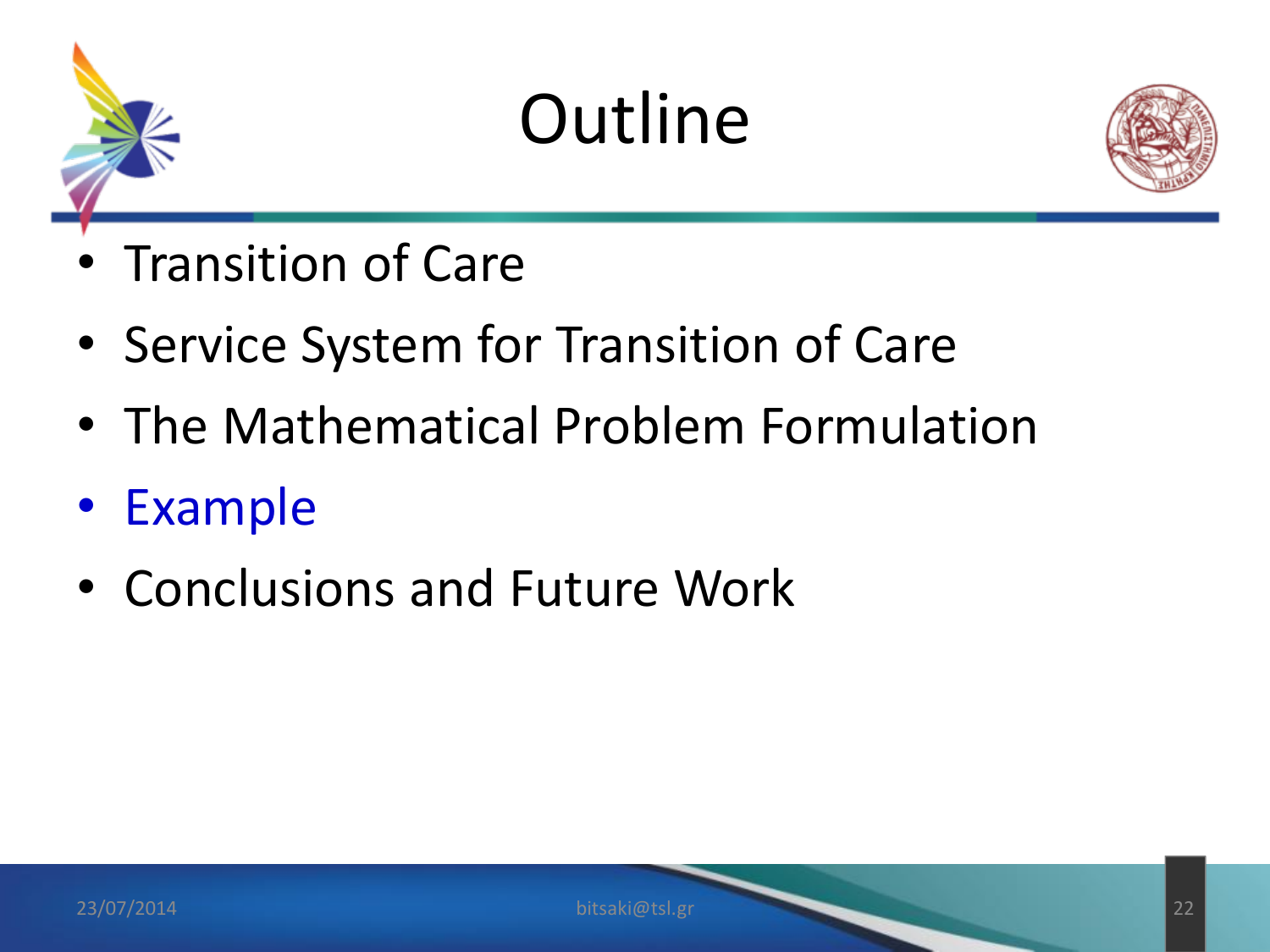



- Transition of Care
- Service System for Transition of Care
- The Mathematical Problem Formulation
- Example
- Conclusions and Future Work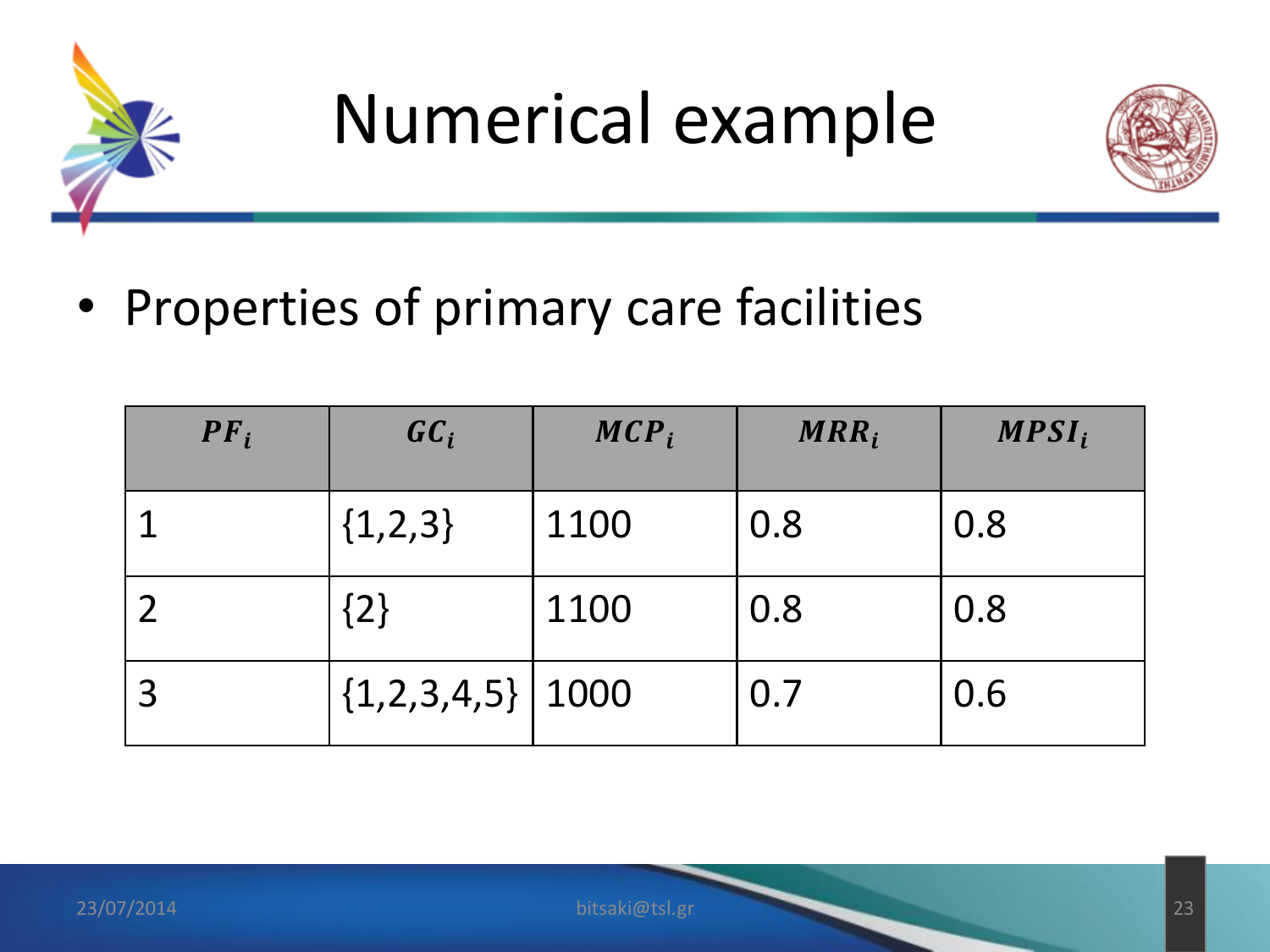



• Properties of primary care facilities

| $PF_i$ | $\boldsymbol{G}\boldsymbol{C}_i$ | $MCP_i$ | $MRR_i$ | $MPSI_i$ |
|--------|----------------------------------|---------|---------|----------|
|        | ${1,2,3}$                        | 1100    | 0.8     | 0.8      |
|        | ${2}$                            | 1100    | 0.8     | 0.8      |
|        | $\{1,2,3,4,5\}$   1000           |         | 0.7     | 0.6      |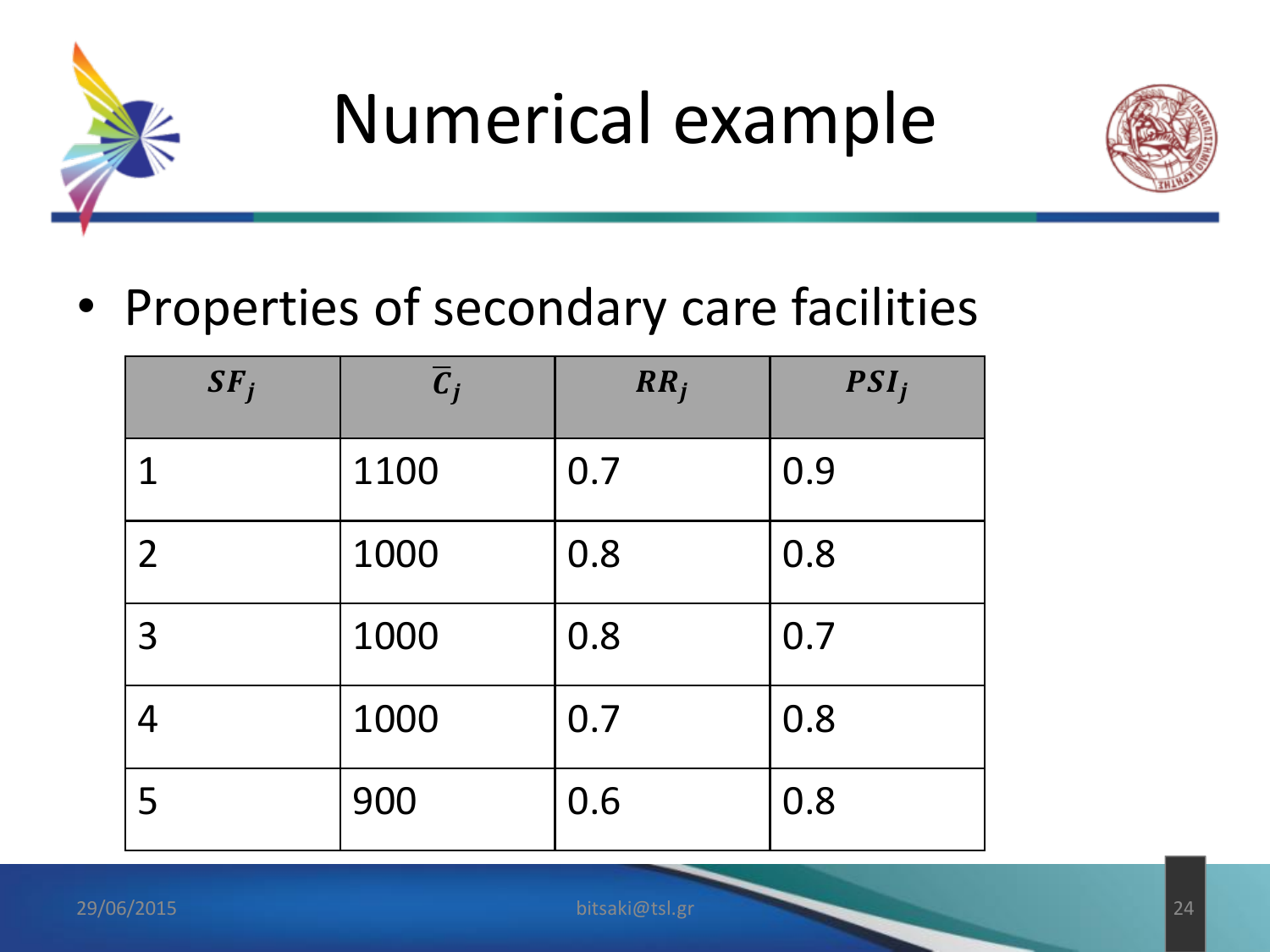



• Properties of secondary care facilities

| SF <sub>j</sub> | $\overline{c}_j$ | RR <sub>j</sub> | $PSI_j$ |
|-----------------|------------------|-----------------|---------|
| 1               | 1100             | 0.7             | 0.9     |
| $\overline{2}$  | 1000             | 0.8             | 0.8     |
| 3               | 1000             | 0.8             | 0.7     |
| 4               | 1000             | 0.7             | 0.8     |
| 5               | 900              | 0.6             | 0.8     |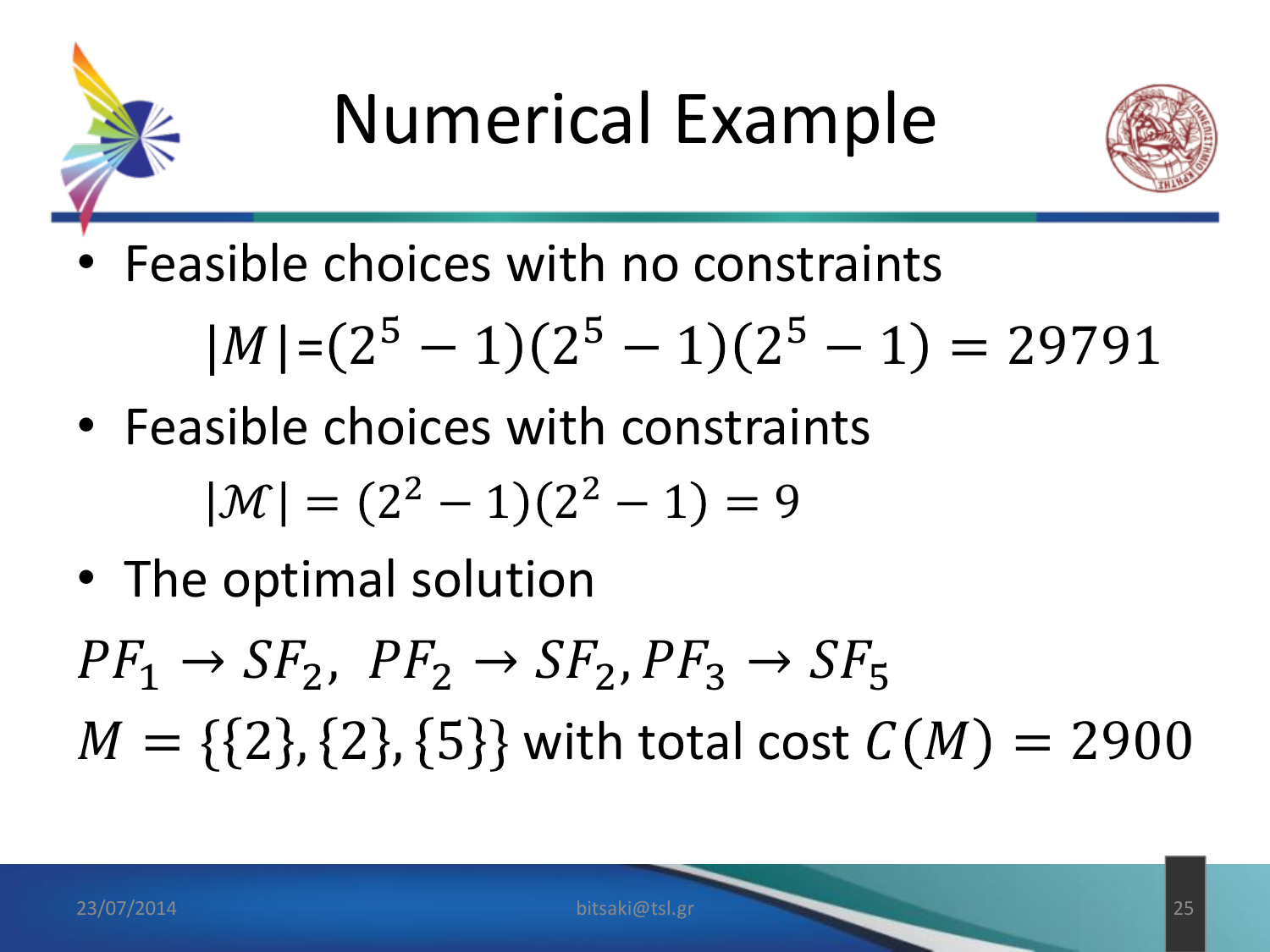



• Feasible choices with no constraints

$$
|M| = (2^5 - 1)(2^5 - 1)(2^5 - 1) = 29791
$$

• Feasible choices with constraints

$$
|\mathcal{M}| = (2^2 - 1)(2^2 - 1) = 9
$$

• The optimal solution

 $PF_1 \rightarrow SF_2$ ,  $PF_2 \rightarrow SF_2$ ,  $PF_3 \rightarrow SF_5$  $M = \{ \{2\}, \{2\}, \{5\} \}$  with total cost  $C(M) = 2900$